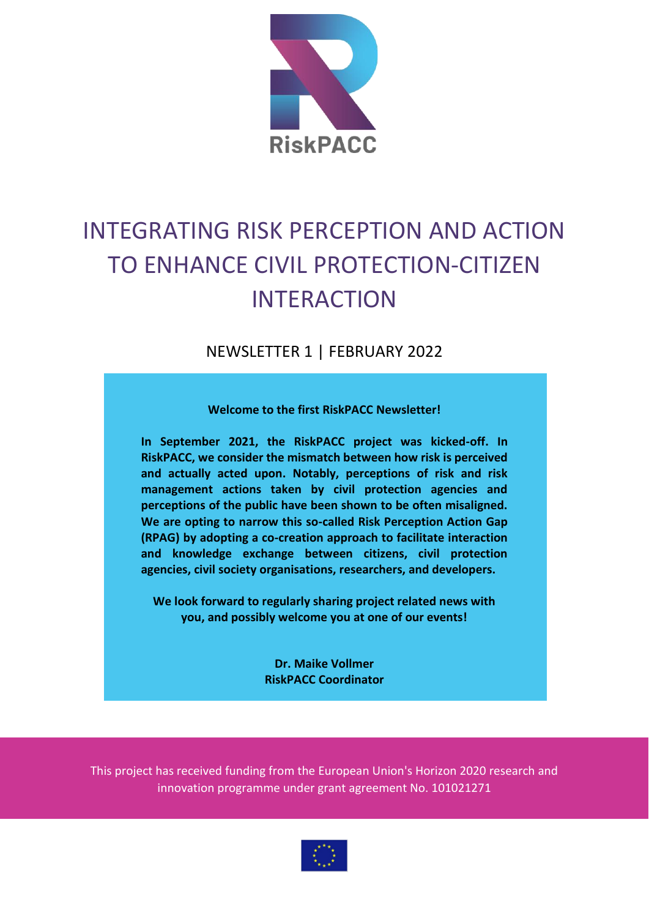

# INTEGRATING RISK PERCEPTION AND ACTION TO ENHANCE CIVIL PROTECTION-CITIZEN INTERACTION

NEWSLETTER 1 | FEBRUARY 2022

**Welcome to the first RiskPACC Newsletter!**

**In September 2021, the RiskPACC project was kicked-off. In RiskPACC, we consider the mismatch between how risk is perceived and actually acted upon. Notably, perceptions of risk and risk management actions taken by civil protection agencies and perceptions of the public have been shown to be often misaligned. We are opting to narrow this so-called Risk Perception Action Gap (RPAG) by adopting a co-creation approach to facilitate interaction and knowledge exchange between citizens, civil protection agencies, civil society organisations, researchers, and developers.** 

**We look forward to regularly sharing project related news with you, and possibly welcome you at one of our events!**

> **Dr. Maike Vollmer RiskPACC Coordinator**

This project has received funding from the European Union's Horizon 2020 research and innovation programme under grant agreement No. 101021271

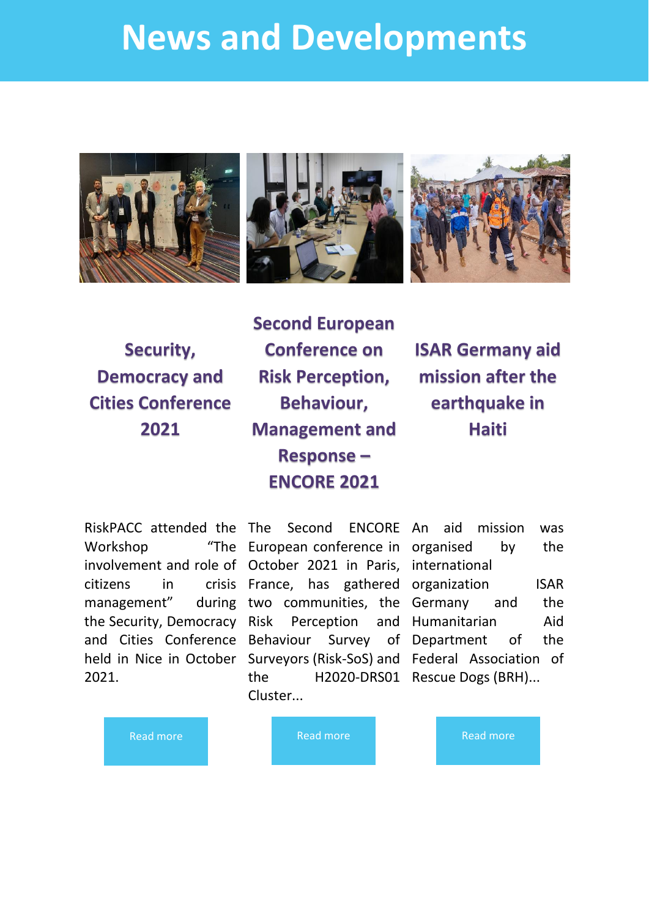# **News and Developments**







**Security, Democracy and Cities Conference 2021**

**Second European Conference on Risk Perception, Behaviour, Management and Response – ENCORE 2021**

**ISAR Germany aid mission after the earthquake in Haiti**

Workshop citizens in management" the Security, Democracy 2021.

RiskPACC attended the The Second ENCORE An aid mission was involvement and role of October 2021 in Paris, international and Cities Conference Behaviour Survey of held in Nice in October Surveyors (Risk-SoS) and Federal Association of European conference in organised by the France, has gathered organization ISAR two communities, the Germany and the Perception the H2020-DRS01 Rescue Dogs (BRH)... Cluster...

and Humanitarian Aid of Department of the

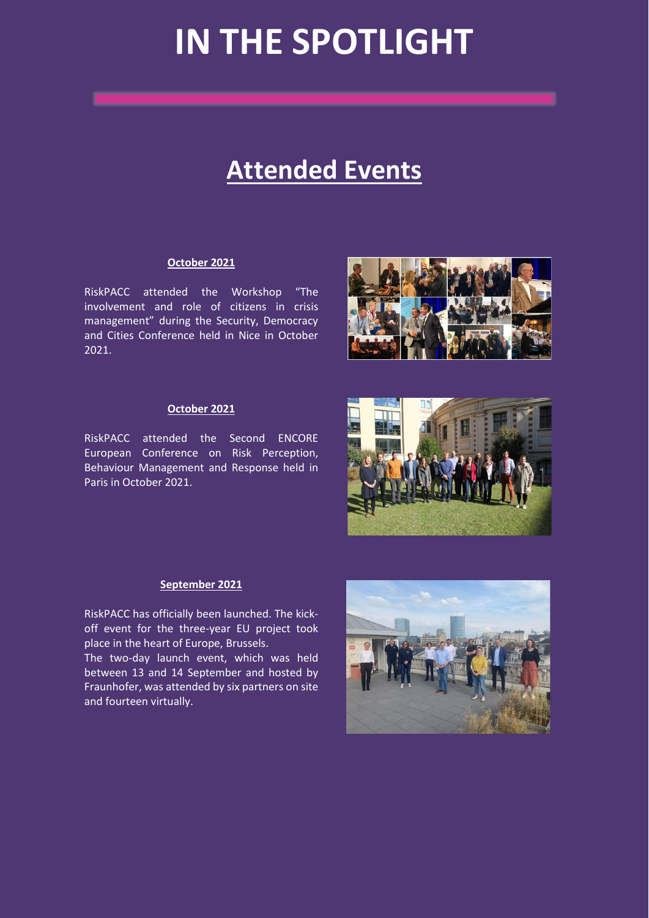# **IN THE SPOTLIGHT**

# **Attended Events**

### **October 2021**

RiskPACC attended the Workshop "The involvement and role of citizens in crisis management" during the Security, Democracy and Cities Conference held in Nice in October 2021.

### **October 2021**

RiskPACC attended the Second ENCORE European Conference on Risk Perception, Behaviour Management and Response held in Paris in October 2021.





### **September 2021**

RiskPACC has officially been launched. The kickoff event for the three-year EU project took place in the heart of Europe, Brussels.

The two-day launch event, which was held between 13 and 14 September and hosted by Fraunhofer, was attended by six partners on site and fourteen virtually.

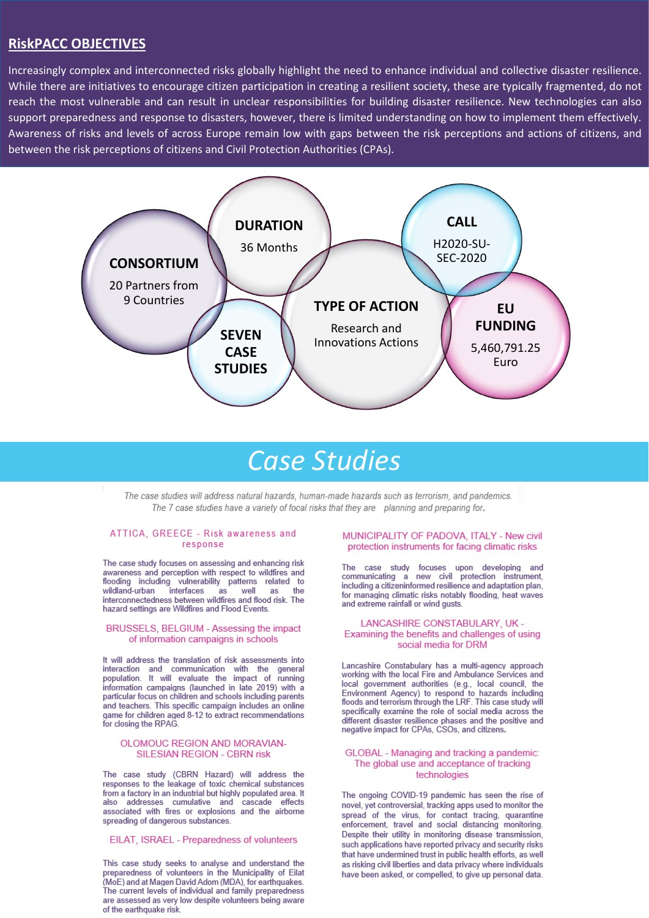## **RiskPACC OBJECTIVES**

Increasingly complex and interconnected risks globally highlight the need to enhance individual and collective disaster resilience. While there are initiatives to encourage citizen participation in creating a resilient society, these are typically fragmented, do not reach the most vulnerable and can result in unclear responsibilities for building disaster resilience. New technologies can also support preparedness and response to disasters, however, there is limited understanding on how to implement them effectively. Awareness of risks and levels of across Europe remain low with gaps between the risk perceptions and actions of citizens, and between the risk perceptions of citizens and Civil Protection Authorities (CPAs).



# Case Studies

The case studies will address natural hazards, human-made hazards such as terrorism, and pandemics. The 7 case studies have a variety of focal risks that they are planning and preparing for.

#### ATTICA, GREECE - Risk awareness and response

The case study focuses on assessing and enhancing risk awareness and perception with respect to wildfires and flooding including vulnerability patterns related to wildland-urban interfaces as well the as interconnectedness between wildfires and flood risk. The hazard settings are Wildfires and Flood Events.

#### BRUSSELS, BELGIUM - Assessing the impact of information campaigns in schools

It will address the translation of risk assessments into interaction and communication with the general<br>population. It will evaluate the impact of running information campaigns (launched in late 2019) with a particular focus on children and schools including parents and teachers. This specific campaign includes an online game for children aged 8-12 to extract recommendations<br>for closing the RPAG.

#### OLOMOUC REGION AND MORAVIAN-**SILESIAN REGION - CBRN risk**

The case study (CBRN Hazard) will address the responses to the leakage of toxic chemical substances From a factory in an industrial but highly populated area. It<br>also addresses cumulative and cascade effects associated with fires or explosions and the airborne spreading of dangerous substances.

EILAT, ISRAEL - Preparedness of volunteers

This case study seeks to analyse and understand the preparedness of volunteers in the Municipality of Eilat (MoE) and at Magen David Adom (MDA), for earthquakes. The current levels of individual and family preparedness are assessed as very low despite volunteers being aware of the earthquake risk.

#### MUNICIPALITY OF PADOVA, ITALY - New civil protection instruments for facing climatic risks

The case study focuses upon developing and<br>communicating a new civil protection instrument, including a citizeninformed resilience and adaptation plan. for managing climatic risks notably flooding, heat waves and extreme rainfall or wind qusts.

#### LANCASHIRE CONSTABULARY, UK -Examining the benefits and challenges of using social media for DRM

Lancashire Constabulary has a multi-agency approach<br>working with the local Fire and Ambulance Services and local government authorities (e.g., local council, the Environment Agency) to respond to hazards including<br>floods and terrorism through the LRF. This case study will specifically examine the role of social media across the different disaster resilience phases and the positive and<br>negative impact for CPAs, CSOs, and citizens.

#### GLOBAL - Managing and tracking a pandemic: The global use and acceptance of tracking technologies

The ongoing COVID-19 pandemic has seen the rise of novel, yet controversial, tracking apps used to monitor the spread of the virus, for contact tracing, quarantine enforcement, travel and social distancing monitoring. Despite their utility in monitoring disease transmission, such applications have reported privacy and security risks that have undermined trust in public health efforts, as well as risking civil liberties and data privacy where individuals have been asked, or compelled, to give up personal data.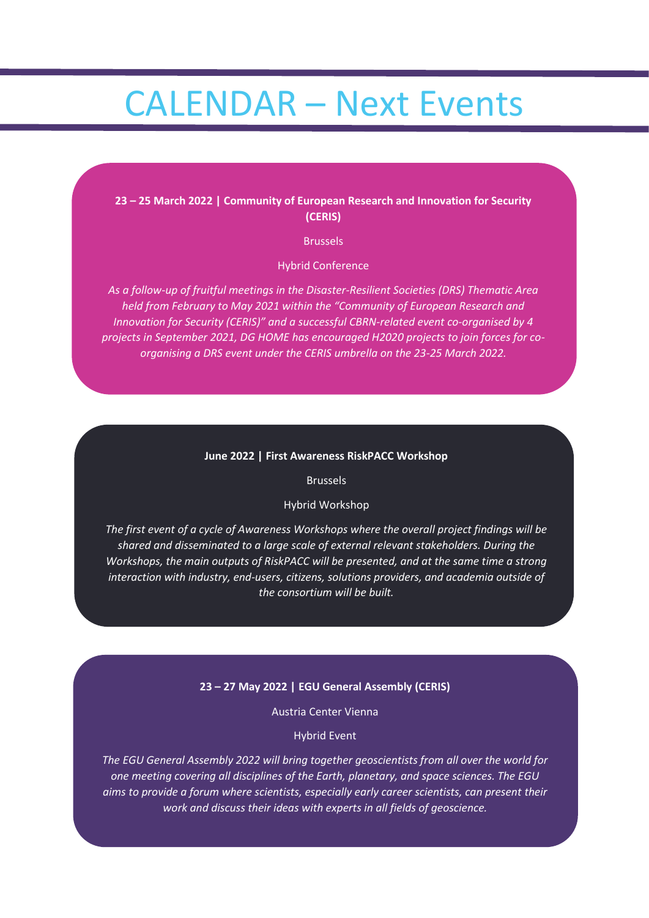# CALENDAR – Next Events

## **23 – 25 March 2022 | Community of European Research and Innovation for Security (CERIS)**

Brussels

Hybrid Conference

*As a follow-up of fruitful meetings in the Disaster-Resilient Societies (DRS) Thematic Area held from February to May 2021 within the "Community of European Research and Innovation for Security (CERIS)" and a successful CBRN-related event co-organised by 4 projects in September 2021, DG HOME has encouraged H2020 projects to join forces for coorganising a DRS event under the CERIS umbrella on the 23-25 March 2022.*

#### **June 2022 | First Awareness RiskPACC Workshop**

Brussels

### Hybrid Workshop

*The first event of a cycle of Awareness Workshops where the overall project findings will be shared and disseminated to a large scale of external relevant stakeholders. During the Workshops, the main outputs of RiskPACC will be presented, and at the same time a strong interaction with industry, end-users, citizens, solutions providers, and academia outside of the consortium will be built.*

## **23 – 27 May 2022 | EGU General Assembly (CERIS)**

Austria Center Vienna

Hybrid Event

*The EGU General Assembly 2022 will bring together geoscientists from all over the world for one meeting covering all disciplines of the Earth, planetary, and space sciences. The EGU aims to provide a forum where scientists, especially early career scientists, can present their work and discuss their ideas with experts in all fields of geoscience.*